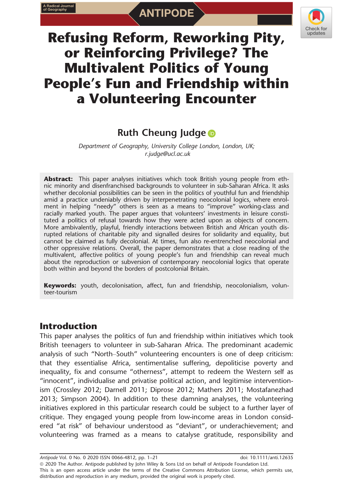

# Refusing Reform, Reworking Pity, or Reinforcing Privilege? The Multivalent Politics of Young People's Fun and Friendship within a Volunteering Encounter

## Ruth Cheung Judg[e](https://orcid.org/0000-0002-2189-2381)

Department of Geography, University College London, London, UK; r.judge@ucl.ac.uk

Abstract: This paper analyses initiatives which took British young people from ethnic minority and disenfranchised backgrounds to volunteer in sub-Saharan Africa. It asks whether decolonial possibilities can be seen in the politics of youthful fun and friendship amid a practice undeniably driven by interpenetrating neocolonial logics, where enrolment in helping "needy" others is seen as a means to "improve" working-class and racially marked youth. The paper argues that volunteers' investments in leisure constituted a politics of refusal towards how they were acted upon as objects of concern. More ambivalently, playful, friendly interactions between British and African youth disrupted relations of charitable pity and signalled desires for solidarity and equality, but cannot be claimed as fully decolonial. At times, fun also re-entrenched neocolonial and other oppressive relations. Overall, the paper demonstrates that a close reading of the multivalent, affective politics of young people's fun and friendship can reveal much about the reproduction or subversion of contemporary neocolonial logics that operate both within and beyond the borders of postcolonial Britain.

**Keywords:** youth, decolonisation, affect, fun and friendship, neocolonialism, volunteer-tourism

### Introduction

This paper analyses the politics of fun and friendship within initiatives which took British teenagers to volunteer in sub-Saharan Africa. The predominant academic analysis of such "North–South" volunteering encounters is one of deep criticism: that they essentialise Africa, sentimentalise suffering, depoliticise poverty and inequality, fix and consume "otherness", attempt to redeem the Western self as "innocent", individualise and privatise political action, and legitimise interventionism (Crossley 2012; Darnell 2011; Diprose 2012; Mathers 2011; Mostafanezhad 2013; Simpson 2004). In addition to these damning analyses, the volunteering initiatives explored in this particular research could be subject to a further layer of critique. They engaged young people from low-income areas in London considered "at risk" of behaviour understood as "deviant", or underachievement; and volunteering was framed as a means to catalyse gratitude, responsibility and

Antipode Vol. 0 No. 0 2020 ISSN 0066-4812, pp. 1-21 doi: 10.1111/anti.12635

ª 2020 The Author. Antipode published by John Wiley & Sons Ltd on behalf of Antipode Foundation Ltd. This is an open access article under the terms of the [Creative Commons Attribution](http://creativecommons.org/licenses/by/4.0/) License, which permits use, distribution and reproduction in any medium, provided the original work is properly cited.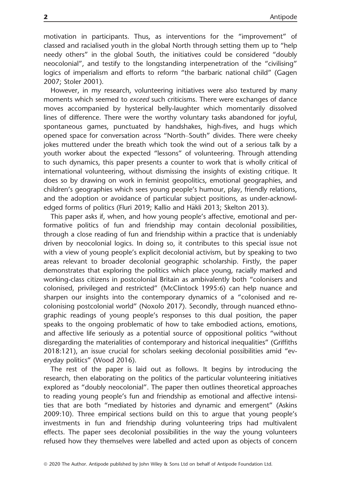motivation in participants. Thus, as interventions for the "improvement" of classed and racialised youth in the global North through setting them up to "help needy others" in the global South, the initiatives could be considered "doubly neocolonial", and testify to the longstanding interpenetration of the "civilising" logics of imperialism and efforts to reform "the barbaric national child" (Gagen 2007; Stoler 2001).

However, in my research, volunteering initiatives were also textured by many moments which seemed to exceed such criticisms. There were exchanges of dance moves accompanied by hysterical belly-laughter which momentarily dissolved lines of difference. There were the worthy voluntary tasks abandoned for joyful, spontaneous games, punctuated by handshakes, high-fives, and hugs which opened space for conversation across "North–South" divides. There were cheeky jokes muttered under the breath which took the wind out of a serious talk by a youth worker about the expected "lessons" of volunteering. Through attending to such dynamics, this paper presents a counter to work that is wholly critical of international volunteering, without dismissing the insights of existing critique. It does so by drawing on work in feminist geopolitics, emotional geographies, and children's geographies which sees young people's humour, play, friendly relations, and the adoption or avoidance of particular subject positions, as under-acknowledged forms of politics (Fluri 2019; Kallio and Häkli 2013; Skelton 2013).

This paper asks if, when, and how young people's affective, emotional and performative politics of fun and friendship may contain decolonial possibilities, through a close reading of fun and friendship within a practice that is undeniably driven by neocolonial logics. In doing so, it contributes to this special issue not with a view of young people's explicit decolonial activism, but by speaking to two areas relevant to broader decolonial geographic scholarship. Firstly, the paper demonstrates that exploring the politics which place young, racially marked and working-class citizens in postcolonial Britain as ambivalently both "colonisers and colonised, privileged and restricted" (McClintock 1995:6) can help nuance and sharpen our insights into the contemporary dynamics of a "colonised and recolonising postcolonial world" (Noxolo 2017). Secondly, through nuanced ethnographic readings of young people's responses to this dual position, the paper speaks to the ongoing problematic of how to take embodied actions, emotions, and affective life seriously as a potential source of oppositional politics "without disregarding the materialities of contemporary and historical inequalities" (Griffiths 2018:121), an issue crucial for scholars seeking decolonial possibilities amid "everyday politics" (Wood 2016).

The rest of the paper is laid out as follows. It begins by introducing the research, then elaborating on the politics of the particular volunteering initiatives explored as "doubly neocolonial". The paper then outlines theoretical approaches to reading young people's fun and friendship as emotional and affective intensities that are both "mediated by histories and dynamic and emergent" (Askins 2009:10). Three empirical sections build on this to argue that young people's investments in fun and friendship during volunteering trips had multivalent effects. The paper sees decolonial possibilities in the way the young volunteers refused how they themselves were labelled and acted upon as objects of concern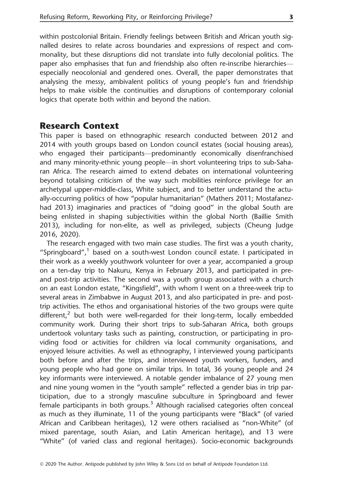within postcolonial Britain. Friendly feelings between British and African youth signalled desires to relate across boundaries and expressions of respect and commonality, but these disruptions did not translate into fully decolonial politics. The paper also emphasises that fun and friendship also often re-inscribe hierarchies especially neocolonial and gendered ones. Overall, the paper demonstrates that analysing the messy, ambivalent politics of young people's fun and friendship helps to make visible the continuities and disruptions of contemporary colonial logics that operate both within and beyond the nation.

#### Research Context

This paper is based on ethnographic research conducted between 2012 and 2014 with youth groups based on London council estates (social housing areas), who engaged their participants—predominantly economically disenfranchised and many minority-ethnic young people—in short volunteering trips to sub-Saharan Africa. The research aimed to extend debates on international volunteering beyond totalising criticism of the way such mobilities reinforce privilege for an archetypal upper-middle-class, White subject, and to better understand the actually-occurring politics of how "popular humanitarian" (Mathers 2011; Mostafanezhad 2013) imaginaries and practices of "doing good" in the global South are being enlisted in shaping subjectivities within the global North (Baillie Smith 2013), including for non-elite, as well as privileged, subjects (Cheung Judge 2016, 2020).

The research engaged with two main case studies. The first was a youth charity, "Springboard", <sup>1</sup> based on a south-west London council estate. I participated in their work as a weekly youthwork volunteer for over a year, accompanied a group on a ten-day trip to Nakuru, Kenya in February 2013, and participated in preand post-trip activities. The second was a youth group associated with a church on an east London estate, "Kingsfield", with whom I went on a three-week trip to several areas in Zimbabwe in August 2013, and also participated in pre- and posttrip activities. The ethos and organisational histories of the two groups were quite different,<sup>2</sup> but both were well-regarded for their long-term, locally embedded community work. During their short trips to sub-Saharan Africa, both groups undertook voluntary tasks such as painting, construction, or participating in providing food or activities for children via local community organisations, and enjoyed leisure activities. As well as ethnography, I interviewed young participants both before and after the trips, and interviewed youth workers, funders, and young people who had gone on similar trips. In total, 36 young people and 24 key informants were interviewed. A notable gender imbalance of 27 young men and nine young women in the "youth sample" reflected a gender bias in trip participation, due to a strongly masculine subculture in Springboard and fewer female participants in both groups.<sup>3</sup> Although racialised categories often conceal as much as they illuminate, 11 of the young participants were "Black" (of varied African and Caribbean heritages), 12 were others racialised as "non-White" (of mixed parentage, south Asian, and Latin American heritage), and 13 were "White" (of varied class and regional heritages). Socio-economic backgrounds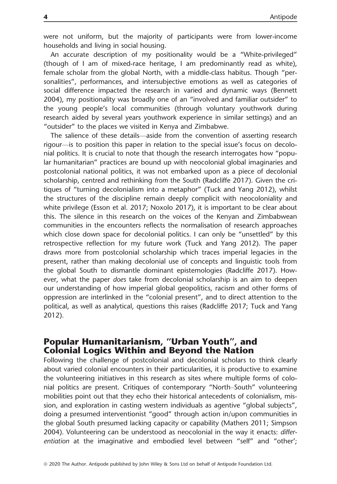were not uniform, but the majority of participants were from lower-income households and living in social housing.

An accurate description of my positionality would be a "White-privileged" (though of I am of mixed-race heritage, I am predominantly read as white), female scholar from the global North, with a middle-class habitus. Though "personalities", performances, and intersubjective emotions as well as categories of social difference impacted the research in varied and dynamic ways (Bennett 2004), my positionality was broadly one of an "involved and familiar outsider" to the young people's local communities (through voluntary youthwork during research aided by several years youthwork experience in similar settings) and an "outsider" to the places we visited in Kenya and Zimbabwe.

The salience of these details—aside from the convention of asserting research rigour—is to position this paper in relation to the special issue's focus on decolonial politics. It is crucial to note that though the research interrogates how "popular humanitarian" practices are bound up with neocolonial global imaginaries and postcolonial national politics, it was not embarked upon as a piece of decolonial scholarship, centred and rethinking from the South (Radcliffe 2017). Given the critiques of "turning decolonialism into a metaphor" (Tuck and Yang 2012), whilst the structures of the discipline remain deeply complicit with neocoloniality and white privilege (Esson et al. 2017; Noxolo 2017), it is important to be clear about this. The silence in this research on the voices of the Kenyan and Zimbabwean communities in the encounters reflects the normalisation of research approaches which close down space for decolonial politics. I can only be "unsettled" by this retrospective reflection for my future work (Tuck and Yang 2012). The paper draws more from postcolonial scholarship which traces imperial legacies in the present, rather than making decolonial use of concepts and linguistic tools from the global South to dismantle dominant epistemologies (Radcliffe 2017). However, what the paper *does* take from decolonial scholarship is an aim to deepen our understanding of how imperial global geopolitics, racism and other forms of oppression are interlinked in the "colonial present", and to direct attention to the political, as well as analytical, questions this raises (Radcliffe 2017; Tuck and Yang 2012).

#### Popular Humanitarianism, "Urban Youth", and Colonial Logics Within and Beyond the Nation

Following the challenge of postcolonial and decolonial scholars to think clearly about varied colonial encounters in their particularities, it is productive to examine the volunteering initiatives in this research as sites where multiple forms of colonial politics are present. Critiques of contemporary "North–South" volunteering mobilities point out that they echo their historical antecedents of colonialism, mission, and exploration in casting western individuals as agentive "global subjects", doing a presumed interventionist "good" through action in/upon communities in the global South presumed lacking capacity or capability (Mathers 2011; Simpson 2004). Volunteering can be understood as neocolonial in the way it enacts: differentiation at the imaginative and embodied level between "self" and "other';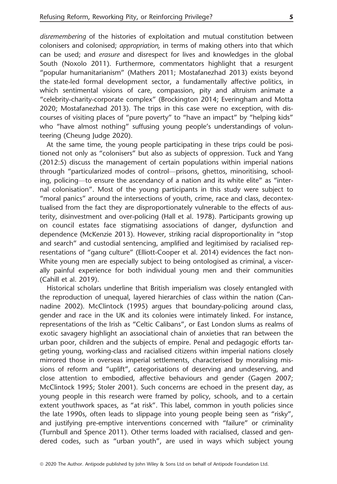disremembering of the histories of exploitation and mutual constitution between colonisers and colonised; appropriation, in terms of making others into that which can be used; and erasure and disrespect for lives and knowledges in the global South (Noxolo 2011). Furthermore, commentators highlight that a resurgent "popular humanitarianism" (Mathers 2011; Mostafanezhad 2013) exists beyond the state-led formal development sector, a fundamentally affective politics, in which sentimental visions of care, compassion, pity and altruism animate a "celebrity-charity-corporate complex" (Brockington 2014; Everingham and Motta 2020; Mostafanezhad 2013). The trips in this case were no exception, with discourses of visiting places of "pure poverty" to "have an impact" by "helping kids" who "have almost nothing" suffusing young people's understandings of volunteering (Cheung Judge 2020).

At the same time, the young people participating in these trips could be positioned not only as "colonisers" but also as subjects of oppression. Tuck and Yang (2012:5) discuss the management of certain populations within imperial nations through "particularized modes of control—prisons, ghettos, minoritising, schooling, policing—to ensure the ascendancy of a nation and its white elite" as "internal colonisation". Most of the young participants in this study were subject to "moral panics" around the intersections of youth, crime, race and class, decontextualised from the fact they are disproportionately vulnerable to the effects of austerity, disinvestment and over-policing (Hall et al. 1978). Participants growing up on council estates face stigmatising associations of danger, dysfunction and dependence (McKenzie 2013). However, striking racial disproportionality in "stop and search" and custodial sentencing, amplified and legitimised by racialised representations of "gang culture" (Elliott-Cooper et al. 2014) evidences the fact non-White young men are especially subject to being ontologised as criminal, a viscerally painful experience for both individual young men and their communities (Cahill et al. 2019).

Historical scholars underline that British imperialism was closely entangled with the reproduction of unequal, layered hierarchies of class within the nation (Cannadine 2002). McClintock (1995) argues that boundary-policing around class, gender and race in the UK and its colonies were intimately linked. For instance, representations of the Irish as "Celtic Calibans", or East London slums as realms of exotic savagery highlight an associational chain of anxieties that ran between the urban poor, children and the subjects of empire. Penal and pedagogic efforts targeting young, working-class and racialised citizens within imperial nations closely mirrored those in overseas imperial settlements, characterised by moralising missions of reform and "uplift", categorisations of deserving and undeserving, and close attention to embodied, affective behaviours and gender (Gagen 2007; McClintock 1995; Stoler 2001). Such concerns are echoed in the present day, as young people in this research were framed by policy, schools, and to a certain extent youthwork spaces, as "at risk". This label, common in youth policies since the late 1990s, often leads to slippage into young people being seen as "risky", and justifying pre-emptive interventions concerned with "failure" or criminality (Turnbull and Spence 2011). Other terms loaded with racialised, classed and gendered codes, such as "urban youth", are used in ways which subject young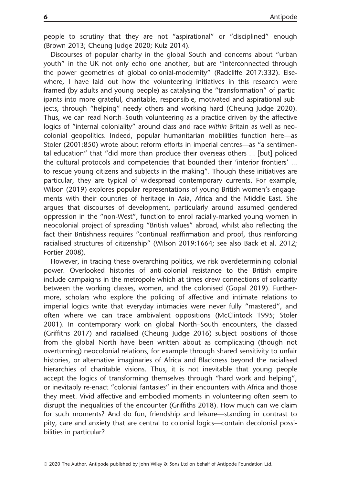people to scrutiny that they are not "aspirational" or "disciplined" enough (Brown 2013; Cheung Judge 2020; Kulz 2014).

Discourses of popular charity in the global South and concerns about "urban youth" in the UK not only echo one another, but are "interconnected through the power geometries of global colonial-modernity" (Radcliffe 2017:332). Elsewhere, I have laid out how the volunteering initiatives in this research were framed (by adults and young people) as catalysing the "transformation" of participants into more grateful, charitable, responsible, motivated and aspirational subjects, through "helping" needy others and working hard (Cheung Judge 2020). Thus, we can read North–South volunteering as a practice driven by the affective logics of "internal coloniality" around class and race within Britain as well as neocolonial geopolitics. Indeed, popular humanitarian mobilities function here—as Stoler (2001:850) wrote about reform efforts in imperial centres—as "a sentimental education" that "did more than produce their overseas others ... [but] policed the cultural protocols and competencies that bounded their 'interior frontiers' ... to rescue young citizens and subjects in the making". Though these initiatives are particular, they are typical of widespread contemporary currents. For example, Wilson (2019) explores popular representations of young British women's engagements with their countries of heritage in Asia, Africa and the Middle East. She argues that discourses of development, particularly around assumed gendered oppression in the "non-West", function to enrol racially-marked young women in neocolonial project of spreading "British values" abroad, whilst also reflecting the fact their Britishness requires "continual reaffirmation and proof, thus reinforcing racialised structures of citizenship" (Wilson 2019:1664; see also Back et al. 2012; Fortier 2008).

However, in tracing these overarching politics, we risk overdetermining colonial power. Overlooked histories of anti-colonial resistance to the British empire include campaigns in the metropole which at times drew connections of solidarity between the working classes, women, and the colonised (Gopal 2019). Furthermore, scholars who explore the policing of affective and intimate relations to imperial logics write that everyday intimacies were never fully "mastered", and often where we can trace ambivalent oppositions (McClintock 1995; Stoler 2001). In contemporary work on global North–South encounters, the classed (Griffiths 2017) and racialised (Cheung Judge 2016) subject positions of those from the global North have been written about as complicating (though not overturning) neocolonial relations, for example through shared sensitivity to unfair histories, or alternative imaginaries of Africa and Blackness beyond the racialised hierarchies of charitable visions. Thus, it is not inevitable that young people accept the logics of transforming themselves through "hard work and helping", or inevitably re-enact "colonial fantasies" in their encounters with Africa and those they meet. Vivid affective and embodied moments in volunteering often seem to disrupt the inequalities of the encounter (Griffiths 2018). How much can we claim for such moments? And do fun, friendship and leisure—standing in contrast to pity, care and anxiety that are central to colonial logics—contain decolonial possibilities in particular?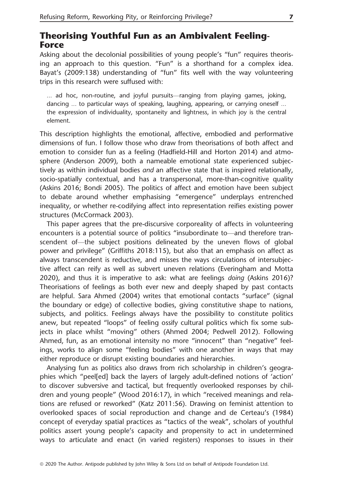#### Theorising Youthful Fun as an Ambivalent Feeling-Force

Asking about the decolonial possibilities of young people's "fun" requires theorising an approach to this question. "Fun" is a shorthand for a complex idea. Bayat's (2009:138) understanding of "fun" fits well with the way volunteering trips in this research were suffused with:

... ad hoc, non-routine, and joyful pursuits—ranging from playing games, joking, dancing ... to particular ways of speaking, laughing, appearing, or carrying oneself ... the expression of individuality, spontaneity and lightness, in which joy is the central element.

This description highlights the emotional, affective, embodied and performative dimensions of fun. I follow those who draw from theorisations of both affect and emotion to consider fun as a feeling (Hadfield-Hill and Horton 2014) and atmosphere (Anderson 2009), both a nameable emotional state experienced subjectively as within individual bodies *and* an affective state that is inspired relationally, socio-spatially contextual, and has a transpersonal, more-than-cognitive quality (Askins 2016; Bondi 2005). The politics of affect and emotion have been subject to debate around whether emphasising "emergence" underplays entrenched inequality, or whether re-codifying affect into representation reifies existing power structures (McCormack 2003).

This paper agrees that the pre-discursive corporeality of affects in volunteering encounters is a potential source of politics "insubordinate to—and therefore transcendent of—the subject positions delineated by the uneven flows of global power and privilege" (Griffiths 2018:115), but also that an emphasis on affect as always transcendent is reductive, and misses the ways circulations of intersubjective affect can reify as well as subvert uneven relations (Everingham and Motta 2020), and thus it is imperative to ask: what are feelings doing (Askins 2016)? Theorisations of feelings as both ever new and deeply shaped by past contacts are helpful. Sara Ahmed (2004) writes that emotional contacts "surface" (signal the boundary or edge) of collective bodies, giving constitutive shape to nations, subjects, and politics. Feelings always have the possibility to constitute politics anew, but repeated "loops" of feeling ossify cultural politics which fix some subjects in place whilst "moving" others (Ahmed 2004; Pedwell 2012). Following Ahmed, fun, as an emotional intensity no more "innocent" than "negative" feelings, works to align some "feeling bodies" with one another in ways that may either reproduce or disrupt existing boundaries and hierarchies.

Analysing fun as politics also draws from rich scholarship in children's geographies which "peel[ed] back the layers of largely adult-defined notions of 'action' to discover subversive and tactical, but frequently overlooked responses by children and young people" (Wood 2016:17), in which "received meanings and relations are refused or reworked" (Katz 2011:56). Drawing on feminist attention to overlooked spaces of social reproduction and change and de Certeau's (1984) concept of everyday spatial practices as "tactics of the weak", scholars of youthful politics assert young people's capacity and propensity to act in undetermined ways to articulate and enact (in varied registers) responses to issues in their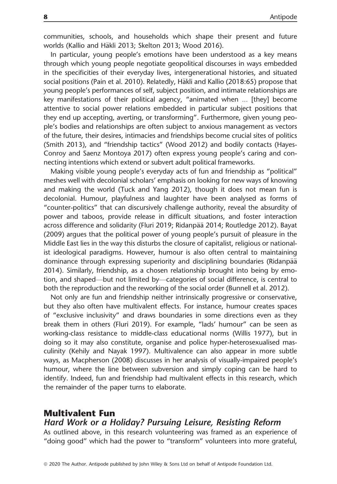communities, schools, and households which shape their present and future worlds (Kallio and Häkli 2013; Skelton 2013; Wood 2016).

In particular, young people's emotions have been understood as a key means through which young people negotiate geopolitical discourses in ways embedded in the specificities of their everyday lives, intergenerational histories, and situated social positions (Pain et al. 2010). Relatedly, Häkli and Kallio (2018:65) propose that young people's performances of self, subject position, and intimate relationships are key manifestations of their political agency, "animated when ... [they] become attentive to social power relations embedded in particular subject positions that they end up accepting, averting, or transforming". Furthermore, given young people's bodies and relationships are often subject to anxious management as vectors of the future, their desires, intimacies and friendships become crucial sites of politics (Smith 2013), and "friendship tactics" (Wood 2012) and bodily contacts (Hayes-Conroy and Saenz Montoya 2017) often express young people's caring and connecting intentions which extend or subvert adult political frameworks.

Making visible young people's everyday acts of fun and friendship as "political" meshes well with decolonial scholars' emphasis on looking for new ways of knowing and making the world (Tuck and Yang 2012), though it does not mean fun is decolonial. Humour, playfulness and laughter have been analysed as forms of "counter-politics" that can discursively challenge authority, reveal the absurdity of power and taboos, provide release in difficult situations, and foster interaction across difference and solidarity (Fluri 2019; Ridanpää 2014; Routledge 2012). Bayat (2009) argues that the political power of young people's pursuit of pleasure in the Middle East lies in the way this disturbs the closure of capitalist, religious or nationalist ideological paradigms. However, humour is also often central to maintaining dominance through expressing superiority and disciplining boundaries (Ridanpää 2014). Similarly, friendship, as a chosen relationship brought into being by emotion, and shaped—but not limited by—categories of social difference, is central to both the reproduction and the reworking of the social order (Bunnell et al. 2012).

Not only are fun and friendship neither intrinsically progressive or conservative, but they also often have multivalent effects. For instance, humour creates spaces of "exclusive inclusivity" and draws boundaries in some directions even as they break them in others (Fluri 2019). For example, "lads' humour" can be seen as working-class resistance to middle-class educational norms (Willis 1977), but in doing so it may also constitute, organise and police hyper-heterosexualised masculinity (Kehily and Nayak 1997). Multivalence can also appear in more subtle ways, as Macpherson (2008) discusses in her analysis of visually-impaired people's humour, where the line between subversion and simply coping can be hard to identify. Indeed, fun and friendship had multivalent effects in this research, which the remainder of the paper turns to elaborate.

#### Multivalent Fun

#### Hard Work or a Holiday? Pursuing Leisure, Resisting Reform

As outlined above, in this research volunteering was framed as an experience of "doing good" which had the power to "transform" volunteers into more grateful,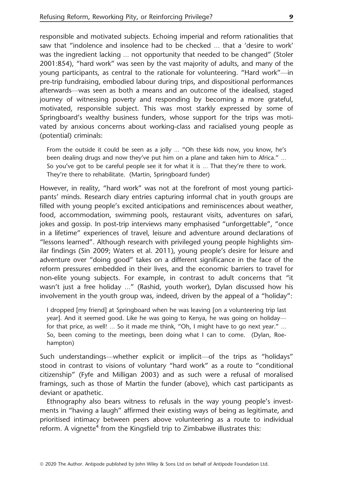responsible and motivated subjects. Echoing imperial and reform rationalities that saw that "indolence and insolence had to be checked ... that a 'desire to work' was the ingredient lacking ... not opportunity that needed to be changed" (Stoler 2001:854), "hard work" was seen by the vast majority of adults, and many of the young participants, as central to the rationale for volunteering. "Hard work"—in pre-trip fundraising, embodied labour during trips, and dispositional performances afterwards—was seen as both a means and an outcome of the idealised, staged journey of witnessing poverty and responding by becoming a more grateful, motivated, responsible subject. This was most starkly expressed by some of Springboard's wealthy business funders, whose support for the trips was motivated by anxious concerns about working-class and racialised young people as (potential) criminals:

From the outside it could be seen as a jolly ... "Oh these kids now, you know, he's been dealing drugs and now they've put him on a plane and taken him to Africa." ... So you've got to be careful people see it for what it is ... That they're there to work. They're there to rehabilitate. (Martin, Springboard funder)

However, in reality, "hard work" was not at the forefront of most young participants' minds. Research diary entries capturing informal chat in youth groups are filled with young people's excited anticipations and reminiscences about weather, food, accommodation, swimming pools, restaurant visits, adventures on safari, jokes and gossip. In post-trip interviews many emphasised "unforgettable", "once in a lifetime" experiences of travel, leisure and adventure around declarations of "lessons learned". Although research with privileged young people highlights similar findings (Sin 2009; Waters et al. 2011), young people's desire for leisure and adventure over "doing good" takes on a different significance in the face of the reform pressures embedded in their lives, and the economic barriers to travel for non-elite young subjects. For example, in contrast to adult concerns that "it wasn't just a free holiday ..." (Rashid, youth worker), Dylan discussed how his involvement in the youth group was, indeed, driven by the appeal of a "holiday":

I dropped [my friend] at Springboard when he was leaving [on a volunteering trip last year]. And it seemed good. Like he was going to Kenya, he was going on holiday for that price, as well! ... So it made me think, "Oh, I might have to go next year." ... So, been coming to the meetings, been doing what I can to come. (Dylan, Roehampton)

Such understandings—whether explicit or implicit—of the trips as "holidays" stood in contrast to visions of voluntary "hard work" as a route to "conditional citizenship" (Fyfe and Milligan 2003) and as such were a refusal of moralised framings, such as those of Martin the funder (above), which cast participants as deviant or apathetic.

Ethnography also bears witness to refusals in the way young people's investments in "having a laugh" affirmed their existing ways of being as legitimate, and prioritised intimacy between peers above volunteering as a route to individual reform. A vignette<sup>4</sup> from the Kingsfield trip to Zimbabwe illustrates this: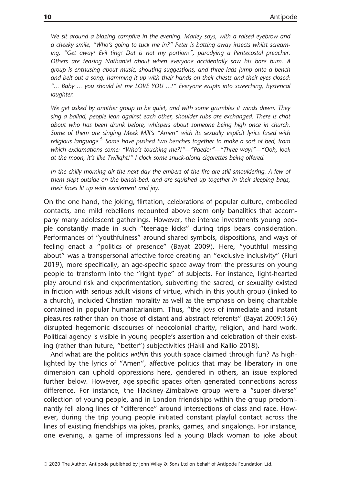We sit around a blazing campfire in the evening. Marley says, with a raised eyebrow and a cheeky smile, "Who's going to tuck me in?" Peter is batting away insects whilst screaming, "Get away! Evil ting! Dat is not my portion!", parodying a Pentecostal preacher. Others are teasing Nathaniel about when everyone accidentally saw his bare bum. A group is enthusing about music, shouting suggestions, and three lads jump onto a bench and belt out a song, hamming it up with their hands on their chests and their eyes closed: "... Baby ... you should let me LOVE YOU ...!" Everyone erupts into screeching, hysterical laughter.

We get asked by another group to be quiet, and with some grumbles it winds down. They sing a ballad, people lean against each other, shoulder rubs are exchanged. There is chat about who has been drunk before, whispers about someone being high once in church. Some of them are singing Meek Mill's "Amen" with its sexually explicit lyrics fused with religious language.<sup>5</sup> Some have pushed two benches together to make a sort of bed, from which exclamations come: "Who's touching me?!"—"Paedo!"—"Three way!"—"Ooh, look at the moon, it's like Twilight!" I clock some snuck-along cigarettes being offered.

In the chilly morning air the next day the embers of the fire are still smouldering. A few of them slept outside on the bench-bed, and are squished up together in their sleeping bags, their faces lit up with excitement and joy.

On the one hand, the joking, flirtation, celebrations of popular culture, embodied contacts, and mild rebellions recounted above seem only banalities that accompany many adolescent gatherings. However, the intense investments young people constantly made in such "teenage kicks" during trips bears consideration. Performances of "youthfulness" around shared symbols, dispositions, and ways of feeling enact a "politics of presence" (Bayat 2009). Here, "youthful messing about" was a transpersonal affective force creating an "exclusive inclusivity" (Fluri 2019), more specifically, an age-specific space away from the pressures on young people to transform into the "right type" of subjects. For instance, light-hearted play around risk and experimentation, subverting the sacred, or sexuality existed in friction with serious adult visions of virtue, which in this youth group (linked to a church), included Christian morality as well as the emphasis on being charitable contained in popular humanitarianism. Thus, "the joys of immediate and instant pleasures rather than on those of distant and abstract referents" (Bayat 2009:156) disrupted hegemonic discourses of neocolonial charity, religion, and hard work. Political agency is visible in young people's assertion and celebration of their existing (rather than future, "better") subjectivities (Häkli and Kallio 2018).

And what are the politics within this youth-space claimed through fun? As highlighted by the lyrics of "Amen", affective politics that may be liberatory in one dimension can uphold oppressions here, gendered in others, an issue explored further below. However, age-specific spaces often generated connections across difference. For instance, the Hackney-Zimbabwe group were a "super-diverse" collection of young people, and in London friendships within the group predominantly fell along lines of "difference" around intersections of class and race. However, during the trip young people initiated constant playful contact across the lines of existing friendships via jokes, pranks, games, and singalongs. For instance, one evening, a game of impressions led a young Black woman to joke about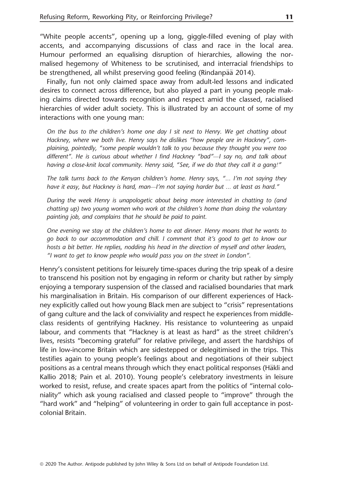"White people accents", opening up a long, giggle-filled evening of play with accents, and accompanying discussions of class and race in the local area. Humour performed an equalising disruption of hierarchies, allowing the normalised hegemony of Whiteness to be scrutinised, and interracial friendships to be strengthened, all whilst preserving good feeling (Rindanpää 2014).

Finally, fun not only claimed space away from adult-led lessons and indicated desires to connect across difference, but also played a part in young people making claims directed towards recognition and respect amid the classed, racialised hierarchies of wider adult society. This is illustrated by an account of some of my interactions with one young man:

On the bus to the children's home one day I sit next to Henry. We get chatting about Hackney, where we both live. Henry says he dislikes "how people are in Hackney", complaining, pointedly, "some people wouldn't talk to you because they thought you were too different". He is curious about whether I find Hackney "bad"—I say no, and talk about having a close-knit local community. Henry said, "See, if we do that they call it a gang!"

The talk turns back to the Kenyan children's home. Henry says, "... I'm not saying they have it easy, but Hackney is hard, man-'m not saying harder but ... at least as hard."

During the week Henry is unapologetic about being more interested in chatting to (and chatting up) two young women who work at the children's home than doing the voluntary painting job, and complains that he should be paid to paint.

One evening we stay at the children's home to eat dinner. Henry moans that he wants to go back to our accommodation and chill. I comment that it's good to get to know our hosts a bit better. He replies, nodding his head in the direction of myself and other leaders, "I want to get to know people who would pass you on the street in London".

Henry's consistent petitions for leisurely time-spaces during the trip speak of a desire to transcend his position not by engaging in reform or charity but rather by simply enjoying a temporary suspension of the classed and racialised boundaries that mark his marginalisation in Britain. His comparison of our different experiences of Hackney explicitly called out how young Black men are subject to "crisis" representations of gang culture and the lack of conviviality and respect he experiences from middleclass residents of gentrifying Hackney. His resistance to volunteering as unpaid labour, and comments that "Hackney is at least as hard" as the street children's lives, resists "becoming grateful" for relative privilege, and assert the hardships of life in low-income Britain which are sidestepped or delegitimised in the trips. This testifies again to young people's feelings about and negotiations of their subject positions as a central means through which they enact political responses (Häkli and Kallio 2018; Pain et al. 2010). Young people's celebratory investments in leisure worked to resist, refuse, and create spaces apart from the politics of "internal coloniality" which ask young racialised and classed people to "improve" through the "hard work" and "helping" of volunteering in order to gain full acceptance in postcolonial Britain.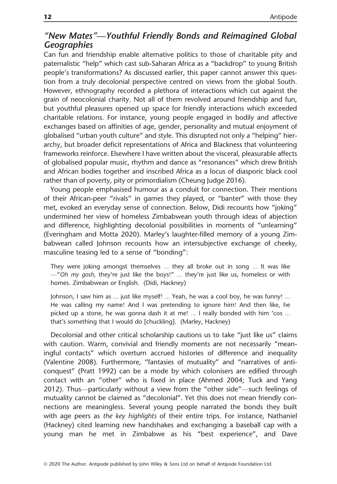#### "New Mates"—Youthful Friendly Bonds and Reimagined Global **Geographies**

Can fun and friendship enable alternative politics to those of charitable pity and paternalistic "help" which cast sub-Saharan Africa as a "backdrop" to young British people's transformations? As discussed earlier, this paper cannot answer this question from a truly decolonial perspective centred on views from the global South. However, ethnography recorded a plethora of interactions which cut against the grain of neocolonial charity. Not all of them revolved around friendship and fun, but youthful pleasures opened up space for friendly interactions which exceeded charitable relations. For instance, young people engaged in bodily and affective exchanges based on affinities of age, gender, personality and mutual enjoyment of globalised "urban youth culture" and style. This disrupted not only a "helping" hierarchy, but broader deficit representations of Africa and Blackness that volunteering frameworks reinforce. Elsewhere I have written about the visceral, pleasurable affects of globalised popular music, rhythm and dance as "resonances" which drew British and African bodies together and inscribed Africa as a locus of diasporic black cool rather than of poverty, pity or primordialism (Cheung Judge 2016).

Young people emphasised humour as a conduit for connection. Their mentions of their African-peer "rivals" in games they played, or "banter" with those they met, evoked an everyday sense of connection. Below, Didi recounts how "joking" undermined her view of homeless Zimbabwean youth through ideas of abjection and difference, highlighting decolonial possibilities in moments of "unlearning" (Everingham and Motta 2020). Marley's laughter-filled memory of a young Zimbabwean called Johnson recounts how an intersubjective exchange of cheeky, masculine teasing led to a sense of "bonding":

They were joking amongst themselves ... they all broke out in song ... It was like —"Oh my gosh, they're just like the boys!" ... they're just like us, homeless or with homes. Zimbabwean or English. (Didi, Hackney)

Johnson, I saw him as ... just like myself! ... Yeah, he was a cool boy, he was funny! ... He was calling my name! And I was pretending to ignore him! And then like, he picked up a stone, he was gonna dash it at me! ... I really bonded with him 'cos ... that's something that I would do [chuckling]. (Marley, Hackney)

Decolonial and other critical scholarship cautions us to take "just like us" claims with caution. Warm, convivial and friendly moments are not necessarily "meaningful contacts" which overturn accrued histories of difference and inequality (Valentine 2008). Furthermore, "fantasies of mutuality" and "narratives of anticonquest" (Pratt 1992) can be a mode by which colonisers are edified through contact with an "other" who is fixed in place (Ahmed 2004; Tuck and Yang 2012). Thus—particularly without a view from the "other side"—such feelings of mutuality cannot be claimed as "decolonial". Yet this does not mean friendly connections are meaningless. Several young people narrated the bonds they built with age peers as the key highlights of their entire trips. For instance, Nathaniel (Hackney) cited learning new handshakes and exchanging a baseball cap with a young man he met in Zimbabwe as his "best experience", and Dave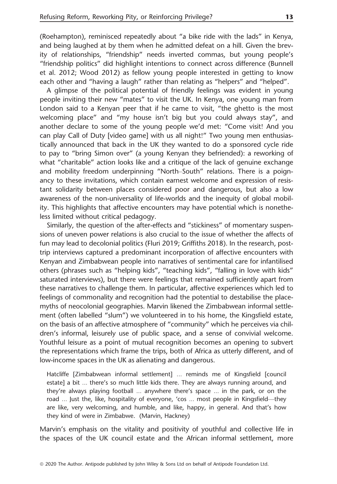(Roehampton), reminisced repeatedly about "a bike ride with the lads" in Kenya, and being laughed at by them when he admitted defeat on a hill. Given the brevity of relationships, "friendship" needs inverted commas, but young people's "friendship politics" did highlight intentions to connect across difference (Bunnell et al. 2012; Wood 2012) as fellow young people interested in getting to know each other and "having a laugh" rather than relating as "helpers" and "helped".

A glimpse of the political potential of friendly feelings was evident in young people inviting their new "mates" to visit the UK. In Kenya, one young man from London said to a Kenyan peer that if he came to visit, "the ghetto is the most welcoming place" and "my house isn't big but you could always stay", and another declare to some of the young people we'd met: "Come visit! And you can play Call of Duty [video game] with us all night!" Two young men enthusiastically announced that back in the UK they wanted to do a sponsored cycle ride to pay to "bring Simon over" (a young Kenyan they befriended): a reworking of what "charitable" action looks like and a critique of the lack of genuine exchange and mobility freedom underpinning "North–South" relations. There is a poignancy to these invitations, which contain earnest welcome and expression of resistant solidarity between places considered poor and dangerous, but also a low awareness of the non-universality of life-worlds and the inequity of global mobility. This highlights that affective encounters may have potential which is nonetheless limited without critical pedagogy.

Similarly, the question of the after-effects and "stickiness" of momentary suspensions of uneven power relations is also crucial to the issue of whether the affects of fun may lead to decolonial politics (Fluri 2019; Griffiths 2018). In the research, posttrip interviews captured a predominant incorporation of affective encounters with Kenyan and Zimbabwean people into narratives of sentimental care for infantilised others (phrases such as "helping kids", "teaching kids", "falling in love with kids" saturated interviews), but there were feelings that remained sufficiently apart from these narratives to challenge them. In particular, affective experiences which led to feelings of commonality and recognition had the potential to destabilise the placemyths of neocolonial geographies. Marvin likened the Zimbabwean informal settlement (often labelled "slum") we volunteered in to his home, the Kingsfield estate, on the basis of an affective atmosphere of "community" which he perceives via children's informal, leisurely use of public space, and a sense of convivial welcome. Youthful leisure as a point of mutual recognition becomes an opening to subvert the representations which frame the trips, both of Africa as utterly different, and of low-income spaces in the UK as alienating and dangerous.

Hatcliffe [Zimbabwean informal settlement] ... reminds me of Kingsfield [council estate] a bit ... there's so much little kids there. They are always running around, and they're always playing football ... anywhere there's space ... in the park, or on the road ... Just the, like, hospitality of everyone, 'cos ... most people in Kingsfield—they are like, very welcoming, and humble, and like, happy, in general. And that's how they kind of were in Zimbabwe. (Marvin, Hackney)

Marvin's emphasis on the vitality and positivity of youthful and collective life in the spaces of the UK council estate and the African informal settlement, more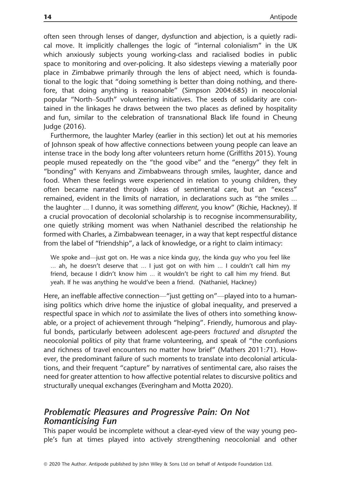often seen through lenses of danger, dysfunction and abjection, is a quietly radical move. It implicitly challenges the logic of "internal colonialism" in the UK which anxiously subjects young working-class and racialised bodies in public space to monitoring and over-policing. It also sidesteps viewing a materially poor place in Zimbabwe primarily through the lens of abject need, which is foundational to the logic that "doing something is better than doing nothing, and therefore, that doing anything is reasonable" (Simpson 2004:685) in neocolonial popular "North–South" volunteering initiatives. The seeds of solidarity are contained in the linkages he draws between the two places as defined by hospitality and fun, similar to the celebration of transnational Black life found in Cheung Judge (2016).

Furthermore, the laughter Marley (earlier in this section) let out at his memories of Johnson speak of how affective connections between young people can leave an intense trace in the body long after volunteers return home (Griffiths 2015). Young people mused repeatedly on the "the good vibe" and the "energy" they felt in "bonding" with Kenyans and Zimbabweans through smiles, laughter, dance and food. When these feelings were experienced in relation to young children, they often became narrated through ideas of sentimental care, but an "excess" remained, evident in the limits of narration, in declarations such as "the smiles ... the laughter ... I dunno, it was something different, you know" (Richie, Hackney). If a crucial provocation of decolonial scholarship is to recognise incommensurability, one quietly striking moment was when Nathaniel described the relationship he formed with Charles, a Zimbabwean teenager, in a way that kept respectful distance from the label of "friendship", a lack of knowledge, or a right to claim intimacy:

We spoke and—just got on. He was a nice kinda guy, the kinda guy who you feel like ... ah, he doesn't deserve that  $\ldots$  I just got on with him  $\ldots$  I couldn't call him my friend, because I didn't know him ... it wouldn't be right to call him my friend. But yeah. If he was anything he would've been a friend. (Nathaniel, Hackney)

Here, an ineffable affective connection—"just getting on"—played into to a humanising politics which drive home the injustice of global inequality, and preserved a respectful space in which not to assimilate the lives of others into something knowable, or a project of achievement through "helping". Friendly, humorous and playful bonds, particularly between adolescent age-peers fractured and disrupted the neocolonial politics of pity that frame volunteering, and speak of "the confusions and richness of travel encounters no matter how brief" (Mathers 2011:71). However, the predominant failure of such moments to translate into decolonial articulations, and their frequent "capture" by narratives of sentimental care, also raises the need for greater attention to how affective potential relates to discursive politics and structurally unequal exchanges (Everingham and Motta 2020).

#### Problematic Pleasures and Progressive Pain: On Not Romanticising Fun

This paper would be incomplete without a clear-eyed view of the way young people's fun at times played into actively strengthening neocolonial and other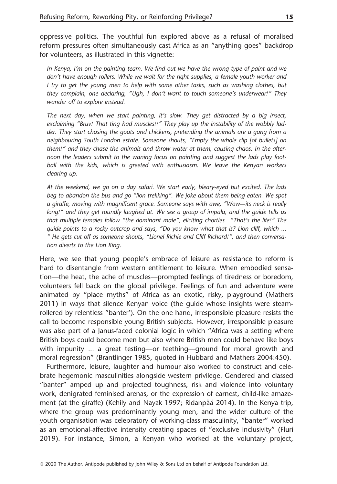oppressive politics. The youthful fun explored above as a refusal of moralised reform pressures often simultaneously cast Africa as an "anything goes" backdrop for volunteers, as illustrated in this vignette:

In Kenya, I'm on the painting team. We find out we have the wrong type of paint and we don't have enough rollers. While we wait for the right supplies, a female youth worker and I try to get the young men to help with some other tasks, such as washing clothes, but they complain, one declaring, "Ugh, I don't want to touch someone's underwear!" They wander off to explore instead.

The next day, when we start painting, it's slow. They get distracted by a big insect, exclaiming "Bruv! That ting had muscles!!" They play up the instability of the wobbly ladder. They start chasing the goats and chickens, pretending the animals are a gang from a neighbouring South London estate. Someone shouts, "Empty the whole clip [of bullets] on them!" and they chase the animals and throw water at them, causing chaos. In the afternoon the leaders submit to the waning focus on painting and suggest the lads play football with the kids, which is greeted with enthusiasm. We leave the Kenyan workers clearing up.

At the weekend, we go on a day safari. We start early, bleary-eyed but excited. The lads beg to abandon the bus and go "lion trekking". We joke about them being eaten. We spot a giraffe, moving with magnificent grace. Someone says with awe, "Wow—its neck is really long!" and they get roundly laughed at. We see a group of impala, and the quide tells us that multiple females follow "the dominant male", eliciting chortles—"That's the life!" The guide points to a rocky outcrop and says, "Do you know what that is? Lion cliff, which ... " He gets cut off as someone shouts, "Lionel Richie and Cliff Richard!", and then conversation diverts to the Lion King.

Here, we see that young people's embrace of leisure as resistance to reform is hard to disentangle from western entitlement to leisure. When embodied sensation—the heat, the ache of muscles—prompted feelings of tiredness or boredom, volunteers fell back on the global privilege. Feelings of fun and adventure were animated by "place myths" of Africa as an exotic, risky, playground (Mathers 2011) in ways that silence Kenyan voice (the guide whose insights were steamrollered by relentless "banter'). On the one hand, irresponsible pleasure resists the call to become responsible young British subjects. However, irresponsible pleasure was also part of a Janus-faced colonial logic in which "Africa was a setting where British boys could become men but also where British men could behave like boys with impunity ... a great testing—or teething—ground for moral growth and moral regression" (Brantlinger 1985, quoted in Hubbard and Mathers 2004:450).

Furthermore, leisure, laughter and humour also worked to construct and celebrate hegemonic masculinities alongside western privilege. Gendered and classed "banter" amped up and projected toughness, risk and violence into voluntary work, denigrated feminised arenas, or the expression of earnest, child-like amazement (at the giraffe) (Kehily and Nayak 1997; Ridanpää 2014). In the Kenya trip, where the group was predominantly young men, and the wider culture of the youth organisation was celebratory of working-class masculinity, "banter" worked as an emotional-affective intensity creating spaces of "exclusive inclusivity" (Fluri 2019). For instance, Simon, a Kenyan who worked at the voluntary project,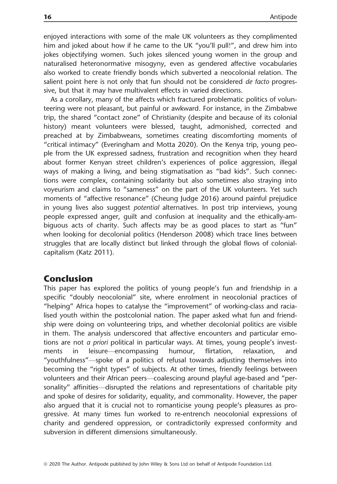enjoyed interactions with some of the male UK volunteers as they complimented him and joked about how if he came to the UK "you'll pull!", and drew him into jokes objectifying women. Such jokes silenced young women in the group and naturalised heteronormative misogyny, even as gendered affective vocabularies also worked to create friendly bonds which subverted a neocolonial relation. The salient point here is not only that fun should not be considered *de facto* progressive, but that it may have multivalent effects in varied directions.

As a corollary, many of the affects which fractured problematic politics of volunteering were not pleasant, but painful or awkward. For instance, in the Zimbabwe trip, the shared "contact zone" of Christianity (despite and because of its colonial history) meant volunteers were blessed, taught, admonished, corrected and preached at by Zimbabweans, sometimes creating discomforting moments of "critical intimacy" (Everingham and Motta 2020). On the Kenya trip, young people from the UK expressed sadness, frustration and recognition when they heard about former Kenyan street children's experiences of police aggression, illegal ways of making a living, and being stigmatisation as "bad kids". Such connections were complex, containing solidarity but also sometimes also straying into voyeurism and claims to "sameness" on the part of the UK volunteers. Yet such moments of "affective resonance" (Cheung Judge 2016) around painful prejudice in young lives also suggest *potential* alternatives. In post trip interviews, young people expressed anger, guilt and confusion at inequality and the ethically-ambiguous acts of charity. Such affects may be as good places to start as "fun" when looking for decolonial politics (Henderson 2008) which trace lines between struggles that are locally distinct but linked through the global flows of colonialcapitalism (Katz 2011).

#### Conclusion

This paper has explored the politics of young people's fun and friendship in a specific "doubly neocolonial" site, where enrolment in neocolonial practices of "helping" Africa hopes to catalyse the "improvement" of working-class and racialised youth within the postcolonial nation. The paper asked what fun and friendship were doing on volunteering trips, and whether decolonial politics are visible in them. The analysis underscored that affective encounters and particular emotions are not *a priori* political in particular ways. At times, young people's investments in leisure—encompassing humour, flirtation, relaxation, and "youthfulness"—spoke of a politics of refusal towards adjusting themselves into becoming the "right types" of subjects. At other times, friendly feelings between volunteers and their African peers—coalescing around playful age-based and "personality" affinities—disrupted the relations and representations of charitable pity and spoke of desires for solidarity, equality, and commonality. However, the paper also argued that it is crucial not to romanticise young people's pleasures as progressive. At many times fun worked to re-entrench neocolonial expressions of charity and gendered oppression, or contradictorily expressed conformity and subversion in different dimensions simultaneously.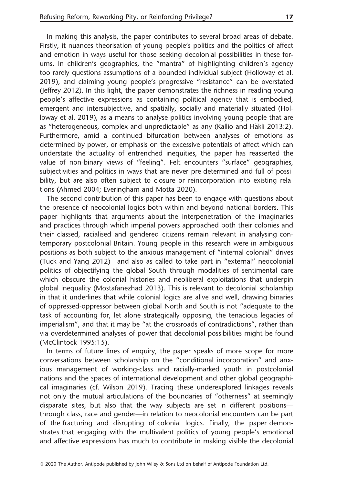In making this analysis, the paper contributes to several broad areas of debate. Firstly, it nuances theorisation of young people's politics and the politics of affect and emotion in ways useful for those seeking decolonial possibilities in these forums. In children's geographies, the "mantra" of highlighting children's agency too rarely questions assumptions of a bounded individual subject (Holloway et al. 2019), and claiming young people's progressive "resistance" can be overstated (Jeffrey 2012). In this light, the paper demonstrates the richness in reading young people's affective expressions as containing political agency that is embodied, emergent and intersubjective, and spatially, socially and materially situated (Holloway et al. 2019), as a means to analyse politics involving young people that are as "heterogeneous, complex and unpredictable" as any (Kallio and Häkli 2013:2). Furthermore, amid a continued bifurcation between analyses of emotions as determined by power, or emphasis on the excessive potentials of affect which can understate the actuality of entrenched inequities, the paper has reasserted the value of non-binary views of "feeling". Felt encounters "surface" geographies, subjectivities and politics in ways that are never pre-determined and full of possibility, but are also often subject to closure or reincorporation into existing relations (Ahmed 2004; Everingham and Motta 2020).

The second contribution of this paper has been to engage with questions about the presence of neocolonial logics both within and beyond national borders. This paper highlights that arguments about the interpenetration of the imaginaries and practices through which imperial powers approached both their colonies and their classed, racialised and gendered citizens remain relevant in analysing contemporary postcolonial Britain. Young people in this research were in ambiguous positions as both subject to the anxious management of "internal colonial" drives (Tuck and Yang 2012)—and also as called to take part in "external" neocolonial politics of objectifying the global South through modalities of sentimental care which obscure the colonial histories and neoliberal exploitations that underpin global inequality (Mostafanezhad 2013). This is relevant to decolonial scholarship in that it underlines that while colonial logics are alive and well, drawing binaries of oppressed-oppressor between global North and South is not "adequate to the task of accounting for, let alone strategically opposing, the tenacious legacies of imperialism", and that it may be "at the crossroads of contradictions", rather than via overdetermined analyses of power that decolonial possibilities might be found (McClintock 1995:15).

In terms of future lines of enquiry, the paper speaks of more scope for more conversations between scholarship on the "conditional incorporation" and anxious management of working-class and racially-marked youth in postcolonial nations and the spaces of international development and other global geographical imaginaries (cf. Wilson 2019). Tracing these underexplored linkages reveals not only the mutual articulations of the boundaries of "otherness" at seemingly disparate sites, but also that the way subjects are set in different positions through class, race and gender—in relation to neocolonial encounters can be part of the fracturing and disrupting of colonial logics. Finally, the paper demonstrates that engaging with the multivalent politics of young people's emotional and affective expressions has much to contribute in making visible the decolonial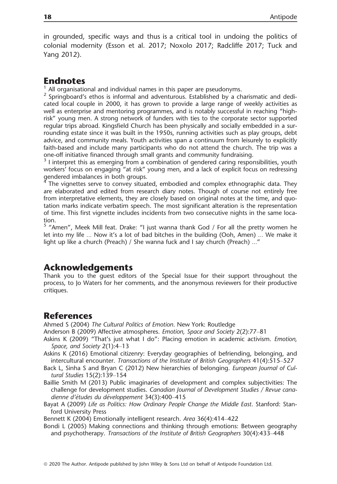in grounded, specific ways and thus is a critical tool in undoing the politics of colonial modernity (Esson et al. 2017; Noxolo 2017; Radcliffe 2017; Tuck and Yang 2012).

**Endnotes**<br><sup>1</sup> All organisational and individual names in this paper are pseudonyms.

 $<sup>2</sup>$  Springboard's ethos is informal and adventurous. Established by a charismatic and dedi-</sup> cated local couple in 2000, it has grown to provide a large range of weekly activities as well as enterprise and mentoring programmes, and is notably successful in reaching "highrisk" young men. A strong network of funders with ties to the corporate sector supported regular trips abroad. Kingsfield Church has been physically and socially embedded in a surrounding estate since it was built in the 1950s, running activities such as play groups, debt advice, and community meals. Youth activities span a continuum from leisurely to explicitly faith-based and include many participants who do not attend the church. The trip was a one-off initiative financed through small grants and community fundraising.

 $3$  I interpret this as emerging from a combination of gendered caring responsibilities, youth workers' focus on engaging "at risk" young men, and a lack of explicit focus on redressing gendered imbalances in both groups.

 $^{\text{4}}$  The vignettes serve to convey situated, embodied and complex ethnographic data. They are elaborated and edited from research diary notes. Though of course not entirely free from interpretative elements, they are closely based on original notes at the time, and quotation marks indicate verbatim speech. The most significant alteration is the representation of time. This first vignette includes incidents from two consecutive nights in the same location.

<sup>5</sup> "Amen", Meek Mill feat. Drake: "I just wanna thank God / For all the pretty women he let into my life ... Now it's a lot of bad bitches in the building (Ooh, Amen) ... We make it light up like a church (Preach) / She wanna fuck and I say church (Preach) ..."

#### Acknowledgements

Thank you to the guest editors of the Special Issue for their support throughout the process, to Jo Waters for her comments, and the anonymous reviewers for their productive critiques.

#### **References**

Ahmed S (2004) The Cultural Politics of Emotion. New York: Routledge

- Anderson B (2009) Affective atmospheres. Emotion, Space and Society 2(2):77–81
- Askins K (2009) "That's just what I do": Placing emotion in academic activism. Emotion, Space, and Society 2(1):4–13
- Askins K (2016) Emotional citizenry: Everyday geographies of befriending, belonging, and intercultural encounter. Transactions of the Institute of British Geographers 41(4):515–527
- Back L, Sinha S and Bryan C (2012) New hierarchies of belonging. European Journal of Cultural Studies 15(2):139–154
- Baillie Smith M (2013) Public imaginaries of development and complex subjectivities: The challenge for development studies. Canadian Journal of Development Studies / Revue canadienne d'études du développement 34(3):400-415
- Bayat A (2009) Life as Politics: How Ordinary People Change the Middle East. Stanford: Stanford University Press

Bennett K (2004) Emotionally intelligent research. Area 36(4):414–422

Bondi L (2005) Making connections and thinking through emotions: Between geography and psychotherapy. Transactions of the Institute of British Geographers 30(4):433–448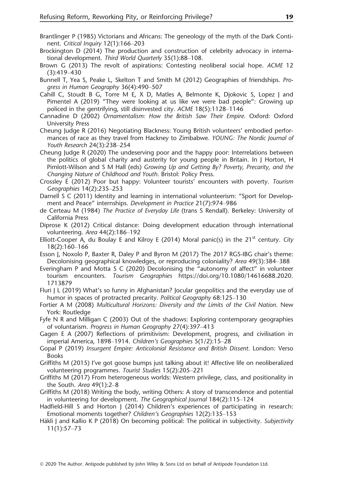- Brantlinger P (1985) Victorians and Africans: The geneology of the myth of the Dark Continent. Critical Inquiry 12(1):166–203
- Brockington D (2014) The production and construction of celebrity advocacy in international development. Third World Quarterly 35(1):88–108.
- Brown G (2013) The revolt of aspirations: Contesting neoliberal social hope. ACME 12 (3):419–430
- Bunnell T, Yea S, Peake L, Skelton T and Smith M (2012) Geographies of friendships. Progress in Human Geography 36(4):490–507
- Cahill C, Stoudt B G, Torre M E, X D, Matles A, Belmonte K, Djokovic S, Lopez J and Pimentel A (2019) "They were looking at us like we were bad people": Growing up policed in the gentrifying, still disinvested city. ACME 18(5):1128–1146
- Cannadine D (2002) Ornamentalism: How the British Saw Their Empire. Oxford: Oxford University Press
- Cheung Judge R (2016) Negotiating Blackness: Young British volunteers' embodied performances of race as they travel from Hackney to Zimbabwe. YOUNG: The Nordic Journal of Youth Research 24(3):238–254
- Cheung Judge R (2020) The undeserving poor and the happy poor: Interrelations between the politics of global charity and austerity for young people in Britain. In J Horton, H Pimlott-Wilson and S M Hall (eds) Growing Up and Getting By? Poverty, Precarity, and the Changing Nature of Childhood and Youth. Bristol: Policy Press.
- Crossley E (2012) Poor but happy: Volunteer tourists' encounters with poverty. Tourism Geographies 14(2):235–253
- Darnell S C (2011) Identity and learning in international volunteerism: "Sport for Development and Peace" internships. Development in Practice 21(7):974–986
- de Certeau M (1984) The Practice of Everyday Life (trans S Rendall). Berkeley: University of California Press
- Diprose K (2012) Critical distance: Doing development education through international volunteering. Area 44(2):186–192
- Elliott-Cooper A, du Boulay E and Kilroy E (2014) Moral panic(s) in the  $21^{st}$  century. City 18(2):160–166
- Esson J, Noxolo P, Baxter R, Daley P and Byron M (2017) The 2017 RGS-IBG chair's theme: Decolonising geographical knowledges, or reproducing coloniality? Area 49(3):384–388
- Everingham P and Motta S C (2020) Decolonising the "autonomy of affect" in volunteer tourism encounters. Tourism Geographies [https://doi.org/10.1080/14616688.2020.](https://doi.org/10.1080/14616688.2020.1713879) [1713879](https://doi.org/10.1080/14616688.2020.1713879)
- Fluri J L (2019) What's so funny in Afghanistan? Jocular geopolitics and the everyday use of humor in spaces of protracted precarity. Political Geography 68:125–130
- Fortier A M (2008) Multicultural Horizons: Diversity and the Limits of the Civil Nation. New York: Routledge
- Fyfe N R and Milligan C (2003) Out of the shadows: Exploring contemporary geographies of voluntarism. Progress in Human Geography 27(4):397–413
- Gagen E A (2007) Reflections of primitivism: Development, progress, and civilisation in imperial America, 1898–1914. Children's Geographies 5(1/2):15–28
- Gopal P (2019) Insurgent Empire: Anticolonial Resistance and British Dissent. London: Verso Books
- Griffiths M (2015) I've got goose bumps just talking about it! Affective life on neoliberalized volunteering programmes. Tourist Studies 15(2):205–221
- Griffiths M (2017) From heterogeneous worlds: Western privilege, class, and positionality in the South. Area 49(1):2–8
- Griffiths M (2018) Writing the body, writing Others: A story of transcendence and potential in volunteering for development. The Geographical Journal 184(2):115–124
- Hadfield-Hill S and Horton J (2014) Children's experiences of participating in research: Emotional moments together? Children's Geographies 12(2):135–153
- Häkli I and Kallio K P (2018) On becoming political: The political in subjectivity. Subjectivity 11(1):57–73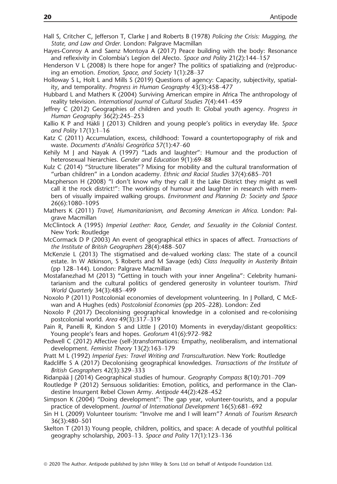- Hall S, Critcher C, Jefferson T, Clarke J and Roberts B (1978) Policing the Crisis: Mugging, the State, and Law and Order. London: Palgrave Macmillan
- Hayes-Conroy A and Saenz Montoya A (2017) Peace building with the body: Resonance and reflexivity in Colombia's Legion del Afecto. Space and Polity 21(2):144–157
- Henderson V L (2008) Is there hope for anger? The politics of spatializing and (re)producing an emotion. Emotion, Space, and Society 1(1):28–37
- Holloway S L, Holt L and Mills S (2019) Questions of agency: Capacity, subjectivity, spatiality, and temporality. Progress in Human Geography 43(3):458–477
- Hubbard L and Mathers K (2004) Surviving American empire in Africa The anthropology of reality television. International Journal of Cultural Studies 7(4):441–459
- Jeffrey C (2012) Geographies of children and youth II: Global youth agency. Progress in Human Geography 36(2):245–253
- Kallio K P and Häkli J (2013) Children and young people's politics in everyday life. Space and Polity 17(1):1–16
- Katz C (2011) Accumulation, excess, childhood: Toward a countertopography of risk and waste. Documents d'Anàlisi Geogràfica 57(1):47-60
- Kehily M J and Nayak A (1997) "Lads and laughter": Humour and the production of heterosexual hierarchies. Gender and Education 9(1):69–88
- Kulz C (2014) "Structure liberates"? Mixing for mobility and the cultural transformation of "urban children" in a London academy. Ethnic and Racial Studies 37(4):685–701
- Macpherson H (2008) "I don't know why they call it the Lake District they might as well call it the rock district!": The workings of humour and laughter in research with members of visually impaired walking groups. Environment and Planning D: Society and Space 26(6):1080–1095
- Mathers K (2011) Travel, Humanitarianism, and Becoming American in Africa. London: Palgrave Macmillan
- McClintock A (1995) Imperial Leather: Race, Gender, and Sexuality in the Colonial Contest. New York: Routledge
- McCormack D P (2003) An event of geographical ethics in spaces of affect. Transactions of the Institute of British Geographers 28(4):488–507
- McKenzie L (2013) The stigmatised and de-valued working class: The state of a council estate. In W Atkinson, S Roberts and M Savage (eds) Class Inequality in Austerity Britain (pp 128–144). London: Palgrave Macmillan
- Mostafanezhad M (2013) "Getting in touch with your inner Angelina": Celebrity humanitarianism and the cultural politics of gendered generosity in volunteer tourism. Third World Quarterly 34(3):485–499
- Noxolo P (2011) Postcolonial economies of development volunteering. In J Pollard, C McEwan and A Hughes (eds) Postcolonial Economies (pp 205–228). London: Zed
- Noxolo P (2017) Decolonising geographical knowledge in a colonised and re-colonising postcolonial world. Area 49(3):317–319
- Pain R, Panelli R, Kindon S and Little J (2010) Moments in everyday/distant geopolitics: Young people's fears and hopes. Geoforum 41(6):972–982
- Pedwell C (2012) Affective (self-)transformations: Empathy, neoliberalism, and international development. Feminist Theory 13(2):163–179
- Pratt M L (1992) Imperial Eyes: Travel Writing and Transculturation. New York: Routledge
- Radcliffe S A (2017) Decolonising geographical knowledges. Transactions of the Institute of British Geographers 42(3):329–333
- Ridanpää J (2014) Geographical studies of humour. Geography Compass 8(10):701-709
- Routledge P (2012) Sensuous solidarities: Emotion, politics, and performance in the Clandestine Insurgent Rebel Clown Army. Antipode 44(2):428–452
- Simpson K (2004) "Doing development": The gap year, volunteer-tourists, and a popular practice of development. Journal of International Development 16(5):681–692
- Sin H L (2009) Volunteer tourism: "Involve me and I will learn"? Annals of Tourism Research 36(3):480–501
- Skelton T (2013) Young people, children, politics, and space: A decade of youthful political geography scholarship, 2003–13. Space and Polity 17(1):123–136